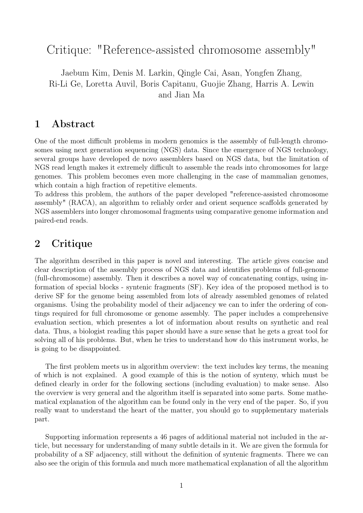## Critique: "Reference-assisted chromosome assembly"

Jaebum Kim, Denis M. Larkin, Qingle Cai, Asan, Yongfen Zhang, Ri-Li Ge, Loretta Auvil, Boris Capitanu, Guojie Zhang, Harris A. Lewin and Jian Ma

## 1 Abstract

One of the most difficult problems in modern genomics is the assembly of full-length chromosomes using next generation sequencing (NGS) data. Since the emergence of NGS technology, several groups have developed de novo assemblers based on NGS data, but the limitation of NGS read length makes it extremely difficult to assemble the reads into chromosomes for large genomes. This problem becomes even more challenging in the case of mammalian genomes, which contain a high fraction of repetitive elements.

To address this problem, the authors of the paper developed "reference-assisted chromosome assembly" (RACA), an algorithm to reliably order and orient sequence scaffolds generated by NGS assemblers into longer chromosomal fragments using comparative genome information and paired-end reads.

## 2 Critique

The algorithm described in this paper is novel and interesting. The article gives concise and clear description of the assembly process of NGS data and identifies problems of full-genome (full-chromosome) assembly. Then it describes a novel way of concatenating contigs, using information of special blocks - syntenic fragments (SF). Key idea of the proposed method is to derive SF for the genome being assembled from lots of already assembled genomes of related organisms. Using the probability model of their adjacency we can to infer the ordering of contings required for full chromosome or genome assembly. The paper includes a comprehensive evaluation section, which presentes a lot of information about results on synthetic and real data. Thus, a biologist reading this paper should have a sure sense that he gets a great tool for solving all of his problems. But, when he tries to understand how do this instrument works, he is going to be disappointed.

The first problem meets us in algorithm overview: the text includes key terms, the meaning of which is not explained. A good example of this is the notion of synteny, which must be defined clearly in order for the following sections (including evaluation) to make sense. Also the overview is very general and the algorithm itself is separated into some parts. Some mathematical explanation of the algorithm can be found only in the very end of the paper. So, if you really want to understand the heart of the matter, you should go to supplementary materials part.

Supporting information represents a 46 pages of additional material not included in the article, but necessary for understanding of many subtle details in it. We are given the formula for probability of a SF adjacency, still without the definition of syntenic fragments. There we can also see the origin of this formula and much more mathematical explanation of all the algorithm